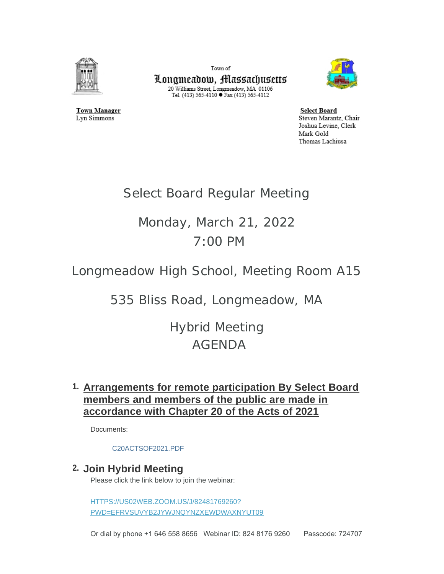

**Town Manager** 

Lyn Simmons

Town of Longmeadow, Massachusetts  $\begin{array}{c} \text{20 Williams Street, Longmeadow, MA$ 01106}\\ \text{Tel. (413) 565-4110}\bullet \text{Fax (413) 565-4112} \end{array}$ 



**Select Board** Steven Marantz, Chair Joshua Levine, Clerk Mark Gold Thomas Lachiusa

# Select Board Regular Meeting

# Monday, March 21, 2022 7:00 PM

Longmeadow High School, Meeting Room A15

535 Bliss Road, Longmeadow, MA

Hybrid Meeting AGENDA

## **Arrangements for remote participation By Select Board 1. members and members of the public are made in accordance with Chapter 20 of the Acts of 2021**

Documents:

#### [C20ACTSOF2021.PDF](https://www.longmeadow.org/AgendaCenter/ViewFile/Item/2177?fileID=21898)

### **Join Hybrid Meeting 2.**

Please click the link below to join the webinar:

HTTPS://US02WEB.ZOOM.US/J/82481769260? [PWD=EFRVSUVYB2JYWJNQYNZXEWDWAXNYUT09](https://us02web.zoom.us/j/82481769260?pwd=eFRVSUVyb2JyWjNqYnZxeWdwaXNYUT09)

Or dial by phone +1 646 558 8656 Webinar ID: 824 8176 9260 Passcode: 724707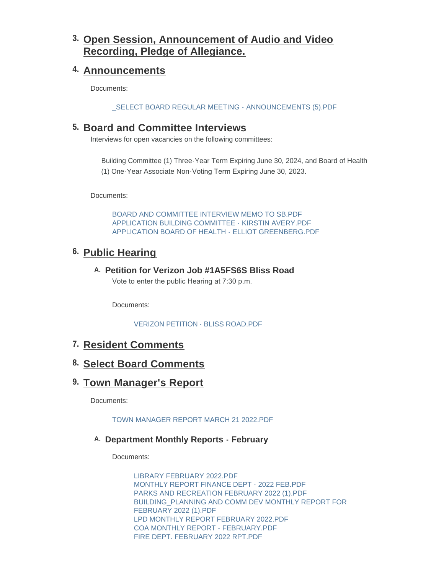# **Open Session, Announcement of Audio and Video 3. Recording, Pledge of Allegiance.**

### **Announcements 4.**

Documents:

[\\_SELECT BOARD REGULAR MEETING - ANNOUNCEMENTS \(5\).PDF](https://www.longmeadow.org/AgendaCenter/ViewFile/Item/2145?fileID=21924)

### **Board and Committee Interviews 5.**

Interviews for open vacancies on the following committees:

Building Committee (1) Three-Year Term Expiring June 30, 2024, and Board of Health (1) One-Year Associate Non-Voting Term Expiring June 30, 2023.

Documents:

[BOARD AND COMMITTEE INTERVIEW MEMO TO SB.PDF](https://www.longmeadow.org/AgendaCenter/ViewFile/Item/2186?fileID=21913) [APPLICATION BUILDING COMMITTEE - KIRSTIN AVERY.PDF](https://www.longmeadow.org/AgendaCenter/ViewFile/Item/2186?fileID=21914) [APPLICATION BOARD OF HEALTH - ELLIOT GREENBERG.PDF](https://www.longmeadow.org/AgendaCenter/ViewFile/Item/2186?fileID=21915)

## **Public Hearing 6.**

### **Petition for Verizon Job #1A5FS6S Bliss Road A.**

Vote to enter the public Hearing at 7:30 p.m.

Documents:

[VERIZON PETITION - BLISS ROAD.PDF](https://www.longmeadow.org/AgendaCenter/ViewFile/Item/2188?fileID=21916)

### **Resident Comments 7.**

### **Select Board Comments 8.**

### **Town Manager's Report 9.**

Documents:

[TOWN MANAGER REPORT MARCH 21 2022.PDF](https://www.longmeadow.org/AgendaCenter/ViewFile/Item/2148?fileID=21932)

#### **Department Monthly Reports - February A.**

Documents:

[LIBRARY FEBRUARY 2022.PDF](https://www.longmeadow.org/AgendaCenter/ViewFile/Item/2196?fileID=21919) [MONTHLY REPORT FINANCE DEPT - 2022 FEB.PDF](https://www.longmeadow.org/AgendaCenter/ViewFile/Item/2196?fileID=21920) [PARKS AND RECREATION FEBRUARY 2022 \(1\).PDF](https://www.longmeadow.org/AgendaCenter/ViewFile/Item/2196?fileID=21921) [BUILDING\\_PLANNING AND COMM DEV MONTHLY REPORT FOR](https://www.longmeadow.org/AgendaCenter/ViewFile/Item/2196?fileID=21925)  FEBRUARY 2022 (1).PDF [LPD MONTHLY REPORT FEBRUARY 2022.PDF](https://www.longmeadow.org/AgendaCenter/ViewFile/Item/2196?fileID=21929) [COA MONTHLY REPORT - FEBRUARY.PDF](https://www.longmeadow.org/AgendaCenter/ViewFile/Item/2196?fileID=21930) [FIRE DEPT. FEBRUARY 2022 RPT.PDF](https://www.longmeadow.org/AgendaCenter/ViewFile/Item/2196?fileID=21931)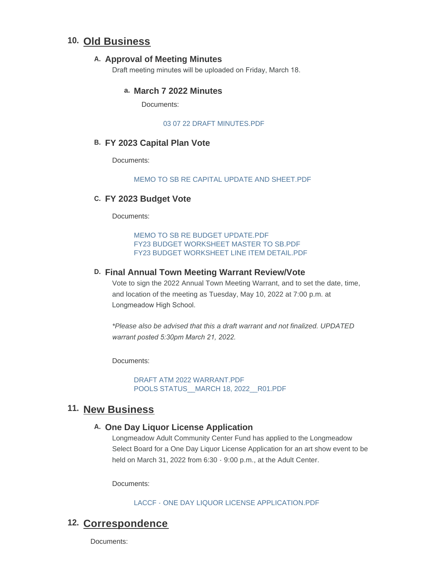### **Old Business 10.**

#### A. Approval of Meeting Minutes

Draft meeting minutes will be uploaded on Friday, March 18.

#### **March 7 2022 Minutes a.**

Documents:

#### [03 07 22 DRAFT MINUTES.PDF](https://www.longmeadow.org/AgendaCenter/ViewFile/Item/2202?fileID=21935)

#### **FY 2023 Capital Plan Vote B.**

Documents:

#### [MEMO TO SB RE CAPITAL UPDATE AND SHEET.PDF](https://www.longmeadow.org/AgendaCenter/ViewFile/Item/2191?fileID=21933)

#### **FY 2023 Budget Vote C.**

Documents:

[MEMO TO SB RE BUDGET UPDATE.PDF](https://www.longmeadow.org/AgendaCenter/ViewFile/Item/2192?fileID=21926) [FY23 BUDGET WORKSHEET MASTER TO SB.PDF](https://www.longmeadow.org/AgendaCenter/ViewFile/Item/2192?fileID=21927) [FY23 BUDGET WORKSHEET LINE ITEM DETAIL.PDF](https://www.longmeadow.org/AgendaCenter/ViewFile/Item/2192?fileID=21928)

#### **Final Annual Town Meeting Warrant Review/Vote D.**

Vote to sign the 2022 Annual Town Meeting Warrant, and to set the date, time, and location of the meeting as Tuesday, May 10, 2022 at 7:00 p.m. at Longmeadow High School.

*\*Please also be advised that this a draft warrant and not finalized. UPDATED warrant posted 5:30pm March 21, 2022.* 

Documents:

[DRAFT ATM 2022 WARRANT.PDF](https://www.longmeadow.org/AgendaCenter/ViewFile/Item/2193?fileID=21937) [POOLS STATUS\\_\\_MARCH 18, 2022\\_\\_R01.PDF](https://www.longmeadow.org/AgendaCenter/ViewFile/Item/2193?fileID=21936)

### 11. New Business

#### **One Day Liquor License Application A.**

Longmeadow Adult Community Center Fund has applied to the Longmeadow Select Board for a One Day Liquor License Application for an art show event to be held on March 31, 2022 from 6:30 - 9:00 p.m., at the Adult Center.

Documents:

[LACCF - ONE DAY LIQUOR LICENSE APPLICATION.PDF](https://www.longmeadow.org/AgendaCenter/ViewFile/Item/2189?fileID=21922)

### 12. Correspondence

Documents: